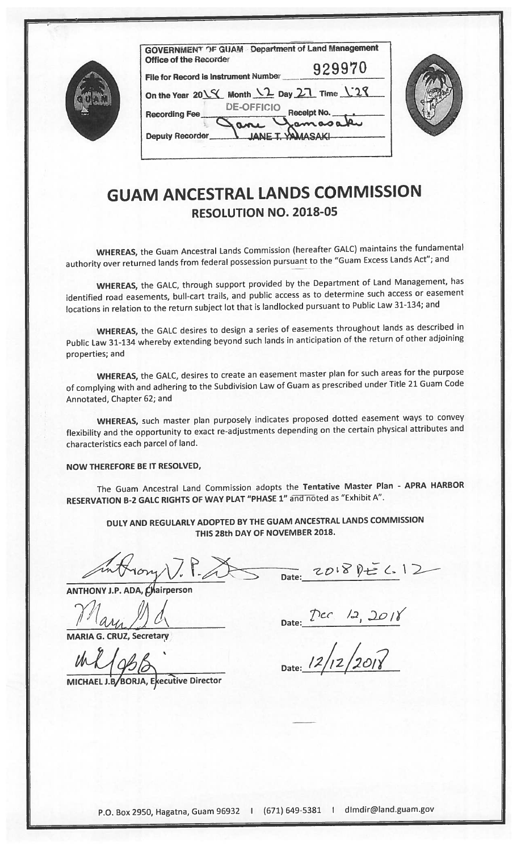| <b>GOVI</b><br>Offic |
|----------------------|
| File f               |
| On th                |
| Reco                 |
| Depu                 |

| <b>GOVERNMENT OF GUAM Department of Land Management</b> |
|---------------------------------------------------------|
| 929970                                                  |
|                                                         |
| On the Year 2018 Month 12 Day 27 Time 128               |
| Receipt No.                                             |
|                                                         |
|                                                         |



## GUAM ANCESTRAL LANDS COMMISSION RESOLUTION NO. 2018-05

WHEREAS, the Guam Ancestral Lands Commission (hereafter GALC) maintains the fundamental authority over returned lands from federal possession pursuan<sup>t</sup> to the "Guam Excess Lands Act"; and

WHEREAS, the GALC, through suppor<sup>t</sup> provided by the Department of Land Management, has identified road easements, bull-cart trails, and public access as to determine such access or easement locations in relation to the return subject lot that is landlocked pursuan<sup>t</sup> to Public Law 31-134; and

WHEREAS, the GALC desires to design <sup>a</sup> series of easements throughout lands as described in Public Law 31-134 whereby extending beyond such lands in anticipation of the return of other adjoining properties; and

WHEREAS, the GALC, desires to create an easement master <sup>p</sup>lan for such areas for the purpose of complying with and adhering to the Subdivision Law of Guam as prescribed under Title <sup>21</sup> Guam Code Annotated, Chapter 62; and

WHEREAS, such master <sup>p</sup>lan purposely indicates propose<sup>d</sup> dotted easement ways to convey flexibility and the opportunity to exact re-adjustments depending on the certain <sup>p</sup>hysical attributes and characteristics each parcel of land.

## NOW THEREFORE BE IT RESOLVED,

The Guam Ancestral Land Commission adopts the Tentative Master Plan - APRA HARBOR RESERVATION B-2 GALC RIGHTS OF WAY PLAT "PHASE 1" and noted as "Exhibit A".

DULY AND REGULARLY ADOPTED BY THE GUAM ANCESTRAL LANDS COMMISSION THIS 28th DAY OF NOVEMBER 2018.

ANTHONY J.P. ADA, Chairperson

 $\mathcal{M}_{\mathbf{a}}$  ,  $\mathcal{M}_{\mathbf{d}}$ 

MARIA G. CRUZ, Secretary

 $M195$ 

MICHAEL J.B/BORJA, Executive Director

Date: 2018 Pt= 6.12

Date:  $Dec$   $12, 201$ 

Date: